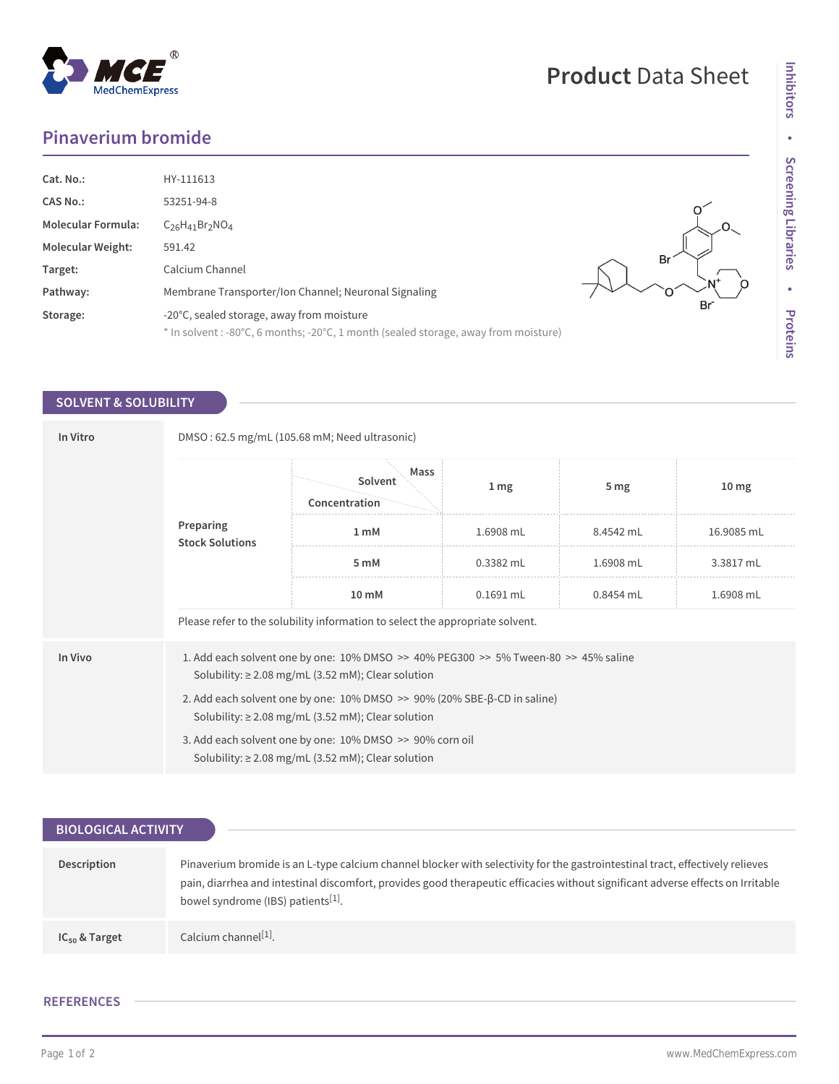## **Pinaverium bromide**

| Cat. No.:<br><b>CAS No.:</b><br><b>Molecular Formula:</b> | HY-111613<br>53251-94-8<br>$C_{26}H_{41}Br_2NO_4$                                                                                |    |
|-----------------------------------------------------------|----------------------------------------------------------------------------------------------------------------------------------|----|
| <b>Molecular Weight:</b>                                  | 591.42                                                                                                                           |    |
| Target:                                                   | Calcium Channel                                                                                                                  | Br |
| Pathway:                                                  | Membrane Transporter/Ion Channel; Neuronal Signaling                                                                             |    |
| Storage:                                                  | -20°C, sealed storage, away from moisture<br>* In solvent : -80°C, 6 months; -20°C, 1 month (sealed storage, away from moisture) | Br |

## **SOLVENT & SOLUBILITY**

| In Vitro | DMSO: 62.5 mg/mL (105.68 mM; Need ultrasonic)                                                                                                     |                                  |                 |                 |                  |  |
|----------|---------------------------------------------------------------------------------------------------------------------------------------------------|----------------------------------|-----------------|-----------------|------------------|--|
|          | Preparing<br><b>Stock Solutions</b>                                                                                                               | Mass<br>Solvent<br>Concentration | 1 <sub>mg</sub> | 5 <sub>mg</sub> | 10 <sub>mg</sub> |  |
|          |                                                                                                                                                   | 1 <sub>m</sub> M                 | 1.6908 mL       | 8.4542 mL       | 16.9085 mL       |  |
|          |                                                                                                                                                   | 5 mM                             | $0.3382$ mL     | 1.6908 mL       | 3.3817 mL        |  |
|          |                                                                                                                                                   | $10 \text{ mM}$                  | $0.1691$ mL     | 0.8454 mL       | 1.6908 mL        |  |
|          | Please refer to the solubility information to select the appropriate solvent.                                                                     |                                  |                 |                 |                  |  |
| In Vivo  | 1. Add each solvent one by one: 10% DMSO >> 40% PEG300 >> 5% Tween-80 >> 45% saline<br>Solubility: $\geq$ 2.08 mg/mL (3.52 mM); Clear solution    |                                  |                 |                 |                  |  |
|          | 2. Add each solvent one by one: $10\%$ DMSO $\gg$ 90% (20% SBE- $\beta$ -CD in saline)<br>Solubility: $\geq$ 2.08 mg/mL (3.52 mM); Clear solution |                                  |                 |                 |                  |  |
|          | 3. Add each solvent one by one: 10% DMSO >> 90% corn oil<br>Solubility: $\geq$ 2.08 mg/mL (3.52 mM); Clear solution                               |                                  |                 |                 |                  |  |

| <b>BIOLOGICAL ACTIVITY</b> |                                                                                                                                                                                                                                                                                                                    |  |  |  |
|----------------------------|--------------------------------------------------------------------------------------------------------------------------------------------------------------------------------------------------------------------------------------------------------------------------------------------------------------------|--|--|--|
|                            |                                                                                                                                                                                                                                                                                                                    |  |  |  |
| Description                | Pinaverium bromide is an L-type calcium channel blocker with selectivity for the gastrointestinal tract, effectively relieves<br>pain, diarrhea and intestinal discomfort, provides good therapeutic efficacies without significant adverse effects on Irritable<br>bowel syndrome (IBS) patients <sup>[1]</sup> . |  |  |  |
| $IC_{50}$ & Target         | Calcium channel <sup>[1]</sup> .                                                                                                                                                                                                                                                                                   |  |  |  |

## **REFERENCES**